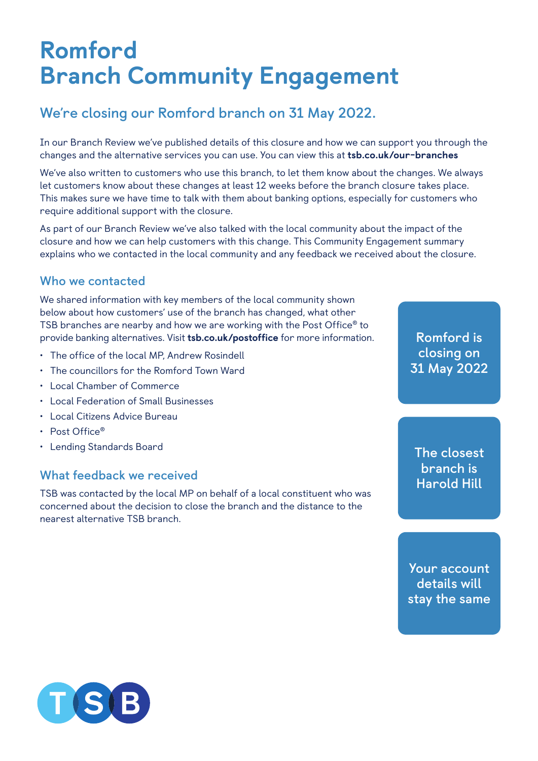# Romford Branch Community Engagement

# **We're closing our Romford branch on 31 May 2022.**

In our Branch Review we've published details of this closure and how we can support you through the changes and the alternative services you can use. You can view this at [tsb.co.uk/our-branches](http://tsb.co.uk/our-branches)

We've also written to customers who use this branch, to let them know about the changes. We always let customers know about these changes at least 12 weeks before the branch closure takes place. This makes sure we have time to talk with them about banking options, especially for customers who require additional support with the closure.

As part of our Branch Review we've also talked with the local community about the impact of the closure and how we can help customers with this change. This Community Engagement summary explains who we contacted in the local community and any feedback we received about the closure.

### **Who we contacted**

We shared information with key members of the local community shown below about how customers' use of the branch has changed, what other TSB branches are nearby and how we are working with the Post Office® to provide banking alternatives. Visit [tsb.co.uk/postoffice](http://tsb.co.uk/postoffice) for more information.

- The office of the local MP, Andrew Rosindell
- The councillors for the Romford Town Ward
- Local Chamber of Commerce
- Local Federation of Small Businesses
- Local Citizens Advice Bureau
- Post Office®
- Lending Standards Board

#### **What feedback we received**

TSB was contacted by the local MP on behalf of a local constituent who was concerned about the decision to close the branch and the distance to the nearest alternative TSB branch.

**Romford is closing on 31 May 2022**

**The closest branch is Harold Hill**

**Your account details will stay the same**